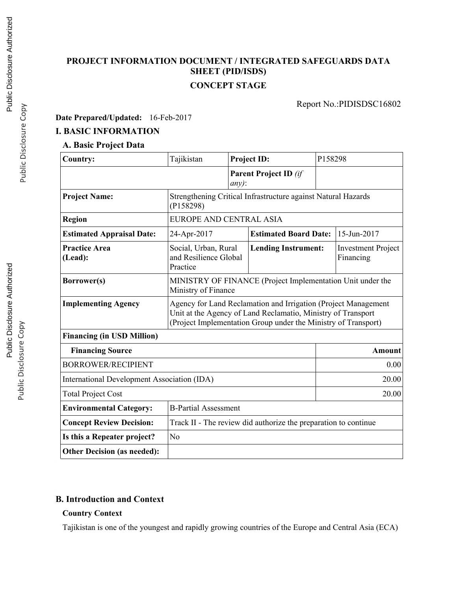## **PROJECT INFORMATION DOCUMENT / INTEGRATED SAFEGUARDS DATA SHEET (PID/ISDS) CONCEPT STAGE**

Report No.:PIDISDSC16802

**Date Prepared/Updated:** 16-Feb-2017

### **I. BASIC INFORMATION**

#### **A. Basic Project Data**

| <b>Country:</b>                                    | Tajikistan                                                                                                                                                                                       |          | <b>Project ID:</b>           | P158298     |                                        |
|----------------------------------------------------|--------------------------------------------------------------------------------------------------------------------------------------------------------------------------------------------------|----------|------------------------------|-------------|----------------------------------------|
|                                                    |                                                                                                                                                                                                  | $any)$ : | <b>Parent Project ID</b> (if |             |                                        |
| <b>Project Name:</b>                               | Strengthening Critical Infrastructure against Natural Hazards<br>(P158298)                                                                                                                       |          |                              |             |                                        |
| <b>Region</b>                                      | EUROPE AND CENTRAL ASIA                                                                                                                                                                          |          |                              |             |                                        |
| <b>Estimated Appraisal Date:</b>                   | <b>Estimated Board Date:</b><br>24-Apr-2017                                                                                                                                                      |          |                              | 15-Jun-2017 |                                        |
| <b>Practice Area</b><br>(Lead):                    | Social, Urban, Rural<br>and Resilience Global<br>Practice                                                                                                                                        |          | <b>Lending Instrument:</b>   |             | <b>Investment Project</b><br>Financing |
| Borrower(s)                                        | MINISTRY OF FINANCE (Project Implementation Unit under the<br>Ministry of Finance                                                                                                                |          |                              |             |                                        |
| <b>Implementing Agency</b>                         | Agency for Land Reclamation and Irrigation (Project Management<br>Unit at the Agency of Land Reclamatio, Ministry of Transport<br>(Project Implementation Group under the Ministry of Transport) |          |                              |             |                                        |
| <b>Financing (in USD Million)</b>                  |                                                                                                                                                                                                  |          |                              |             |                                        |
| <b>Financing Source</b>                            |                                                                                                                                                                                                  |          | Amount                       |             |                                        |
| <b>BORROWER/RECIPIENT</b>                          |                                                                                                                                                                                                  |          | 0.00                         |             |                                        |
| <b>International Development Association (IDA)</b> |                                                                                                                                                                                                  |          |                              | 20.00       |                                        |
| <b>Total Project Cost</b>                          |                                                                                                                                                                                                  |          | 20.00                        |             |                                        |
| <b>Environmental Category:</b>                     | <b>B-Partial Assessment</b>                                                                                                                                                                      |          |                              |             |                                        |
| <b>Concept Review Decision:</b>                    | Track II - The review did authorize the preparation to continue                                                                                                                                  |          |                              |             |                                        |
| Is this a Repeater project?                        | N <sub>0</sub>                                                                                                                                                                                   |          |                              |             |                                        |
| <b>Other Decision (as needed):</b>                 |                                                                                                                                                                                                  |          |                              |             |                                        |

## **B. Introduction and Context**

## **Country Context**

Tajikistan is one of the youngest and rapidly growing countries of the Europe and Central Asia (ECA)

Public Disclosure Copy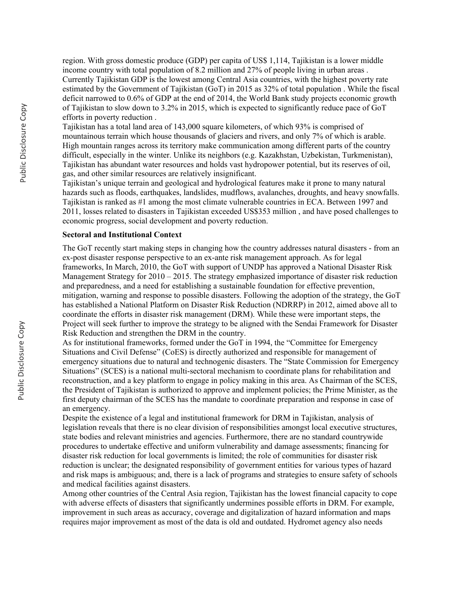region. With gross domestic produce (GDP) per capita of US\$ 1,114, Tajikistan is a lower middle income country with total population of 8.2 million and 27% of people living in urban areas . Currently Tajikistan GDP is the lowest among Central Asia countries, with the highest poverty rate estimated by the Government of Tajikistan (GoT) in 2015 as 32% of total population . While the fiscal deficit narrowed to 0.6% of GDP at the end of 2014, the World Bank study projects economic growth of Tajikistan to slow down to 3.2% in 2015, which is expected to significantly reduce pace of GoT efforts in poverty reduction .

Tajikistan has a total land area of 143,000 square kilometers, of which 93% is comprised of mountainous terrain which house thousands of glaciers and rivers, and only 7% of which is arable. High mountain ranges across its territory make communication among different parts of the country difficult, especially in the winter. Unlike its neighbors (e.g. Kazakhstan, Uzbekistan, Turkmenistan), Tajikistan has abundant water resources and holds vast hydropower potential, but its reserves of oil, gas, and other similar resources are relatively insignificant.

Tajikistan's unique terrain and geological and hydrological features make it prone to many natural hazards such as floods, earthquakes, landslides, mudflows, avalanches, droughts, and heavy snowfalls. Tajikistan is ranked as #1 among the most climate vulnerable countries in ECA. Between 1997 and 2011, losses related to disasters in Tajikistan exceeded US\$353 million , and have posed challenges to economic progress, social development and poverty reduction.

#### **Sectoral and Institutional Context**

The GoT recently start making steps in changing how the country addresses natural disasters - from an ex-post disaster response perspective to an ex-ante risk management approach. As for legal frameworks, In March, 2010, the GoT with support of UNDP has approved a National Disaster Risk Management Strategy for  $2010 - 2015$ . The strategy emphasized importance of disaster risk reduction and preparedness, and a need for establishing a sustainable foundation for effective prevention, mitigation, warning and response to possible disasters. Following the adoption of the strategy, the GoT has established a National Platform on Disaster Risk Reduction (NDRRP) in 2012, aimed above all to coordinate the efforts in disaster risk management (DRM). While these were important steps, the Project will seek further to improve the strategy to be aligned with the Sendai Framework for Disaster Risk Reduction and strengthen the DRM in the country.

As for institutional frameworks, formed under the GoT in 1994, the "Committee for Emergency Situations and Civil Defense" (CoES) is directly authorized and responsible for management of emergency situations due to natural and technogenic disasters. The "State Commission for Emergency Situations" (SCES) is a national multi-sectoral mechanism to coordinate plans for rehabilitation and reconstruction, and a key platform to engage in policy making in this area. As Chairman of the SCES, the President of Tajikistan is authorized to approve and implement policies; the Prime Minister, as the first deputy chairman of the SCES has the mandate to coordinate preparation and response in case of an emergency.

Despite the existence of a legal and institutional framework for DRM in Tajikistan, analysis of legislation reveals that there is no clear division of responsibilities amongst local executive structures, state bodies and relevant ministries and agencies. Furthermore, there are no standard countrywide procedures to undertake effective and uniform vulnerability and damage assessments; financing for disaster risk reduction for local governments is limited; the role of communities for disaster risk reduction is unclear; the designated responsibility of government entities for various types of hazard and risk maps is ambiguous; and, there is a lack of programs and strategies to ensure safety of schools and medical facilities against disasters.

Among other countries of the Central Asia region, Tajikistan has the lowest financial capacity to cope with adverse effects of disasters that significantly undermines possible efforts in DRM. For example, improvement in such areas as accuracy, coverage and digitalization of hazard information and maps requires major improvement as most of the data is old and outdated. Hydromet agency also needs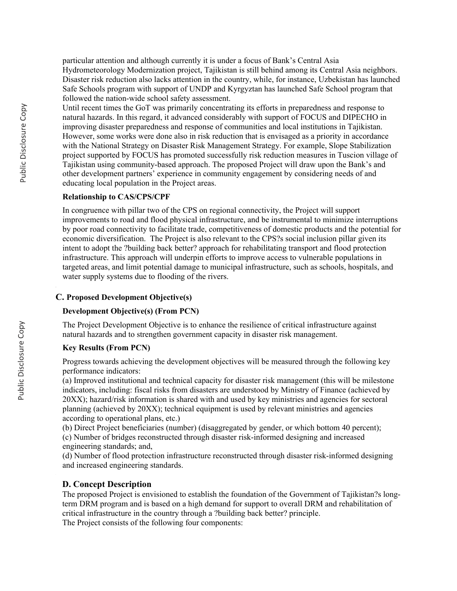particular attention and although currently it is under a focus of Bank's Central Asia Hydrometeorology Modernization project, Tajikistan is still behind among its Central Asia neighbors. Disaster risk reduction also lacks attention in the country, while, for instance, Uzbekistan has launched Safe Schools program with support of UNDP and Kyrgyztan has launched Safe School program that followed the nation-wide school safety assessment.

Until recent times the GoT was primarily concentrating its efforts in preparedness and response to natural hazards. In this regard, it advanced considerably with support of FOCUS and DIPECHO in improving disaster preparedness and response of communities and local institutions in Tajikistan. However, some works were done also in risk reduction that is envisaged as a priority in accordance with the National Strategy on Disaster Risk Management Strategy. For example, Slope Stabilization project supported by FOCUS has promoted successfully risk reduction measures in Tuscion village of Tajikistan using community-based approach. The proposed Project will draw upon the Bank's and other development partners' experience in community engagement by considering needs of and educating local population in the Project areas.

#### **Relationship to CAS/CPS/CPF**

In congruence with pillar two of the CPS on regional connectivity, the Project will support improvements to road and flood physical infrastructure, and be instrumental to minimize interruptions by poor road connectivity to facilitate trade, competitiveness of domestic products and the potential for economic diversification. The Project is also relevant to the CPS?s social inclusion pillar given its intent to adopt the ?building back better? approach for rehabilitating transport and flood protection infrastructure. This approach will underpin efforts to improve access to vulnerable populations in targeted areas, and limit potential damage to municipal infrastructure, such as schools, hospitals, and water supply systems due to flooding of the rivers.

#### **C. Proposed Development Objective(s)**

#### **Development Objective(s) (From PCN)**

The Project Development Objective is to enhance the resilience of critical infrastructure against natural hazards and to strengthen government capacity in disaster risk management.

#### **Key Results (From PCN)**

Progress towards achieving the development objectives will be measured through the following key performance indicators:

(a) Improved institutional and technical capacity for disaster risk management (this will be milestone indicators, including: fiscal risks from disasters are understood by Ministry of Finance (achieved by 20XX); hazard/risk information is shared with and used by key ministries and agencies for sectoral planning (achieved by 20XX); technical equipment is used by relevant ministries and agencies according to operational plans, etc.)

(b) Direct Project beneficiaries (number) (disaggregated by gender, or which bottom 40 percent); (c) Number of bridges reconstructed through disaster risk-informed designing and increased engineering standards; and,

(d) Number of flood protection infrastructure reconstructed through disaster risk-informed designing and increased engineering standards.

#### **D. Concept Description**

The proposed Project is envisioned to establish the foundation of the Government of Tajikistan?s longterm DRM program and is based on a high demand for support to overall DRM and rehabilitation of critical infrastructure in the country through a ?building back better? principle. The Project consists of the following four components: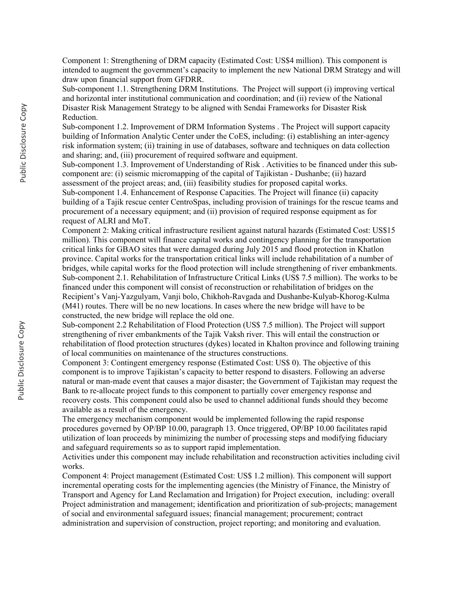Component 1: Strengthening of DRM capacity (Estimated Cost: US\$4 million). This component is intended to augment the government's capacity to implement the new National DRM Strategy and will draw upon financial support from GFDRR.

Sub-component 1.1. Strengthening DRM Institutions. The Project will support (i) improving vertical and horizontal inter institutional communication and coordination; and (ii) review of the National Disaster Risk Management Strategy to be aligned with Sendai Frameworks for Disaster Risk Reduction.

Sub-component 1.2. Improvement of DRM Information Systems . The Project will support capacity building of Information Analytic Center under the CoES, including: (i) establishing an inter-agency risk information system; (ii) training in use of databases, software and techniques on data collection and sharing; and, (iii) procurement of required software and equipment.

Sub-component 1.3. Improvement of Understanding of Risk . Activities to be financed under this subcomponent are: (i) seismic micromapping of the capital of Tajikistan - Dushanbe; (ii) hazard assessment of the project areas; and, (iii) feasibility studies for proposed capital works.

Sub-component 1.4. Enhancement of Response Capacities. The Project will finance (ii) capacity building of a Tajik rescue center CentroSpas, including provision of trainings for the rescue teams and procurement of a necessary equipment; and (ii) provision of required response equipment as for request of ALRI and MoT.

Component 2: Making critical infrastructure resilient against natural hazards (Estimated Cost: US\$15 million). This component will finance capital works and contingency planning for the transportation critical links for GBAO sites that were damaged during July 2015 and flood protection in Khatlon province. Capital works for the transportation critical links will include rehabilitation of a number of bridges, while capital works for the flood protection will include strengthening of river embankments. Sub-component 2.1. Rehabilitation of Infrastructure Critical Links (US\$ 7.5 million). The works to be financed under this component will consist of reconstruction or rehabilitation of bridges on the Recipient's Vanj-Yazgulyam, Vanji bolo, Chikhoh-Ravgada and Dushanbe-Kulyab-Khorog-Kulma (M41) routes. There will be no new locations. In cases where the new bridge will have to be constructed, the new bridge will replace the old one.

Sub-component 2.2 Rehabilitation of Flood Protection (US\$ 7.5 million). The Project will support strengthening of river embankments of the Tajik Vaksh river. This will entail the construction or rehabilitation of flood protection structures (dykes) located in Khalton province and following training of local communities on maintenance of the structures constructions.

Component 3: Contingent emergency response (Estimated Cost: US\$ 0). The objective of this component is to improve Tajikistan's capacity to better respond to disasters. Following an adverse natural or man-made event that causes a major disaster; the Government of Tajikistan may request the Bank to re-allocate project funds to this component to partially cover emergency response and recovery costs. This component could also be used to channel additional funds should they become available as a result of the emergency.

The emergency mechanism component would be implemented following the rapid response procedures governed by OP/BP 10.00, paragraph 13. Once triggered, OP/BP 10.00 facilitates rapid utilization of loan proceeds by minimizing the number of processing steps and modifying fiduciary and safeguard requirements so as to support rapid implementation.

Activities under this component may include rehabilitation and reconstruction activities including civil works.

Component 4: Project management (Estimated Cost: US\$ 1.2 million). This component will support incremental operating costs for the implementing agencies (the Ministry of Finance, the Ministry of Transport and Agency for Land Reclamation and Irrigation) for Project execution, including: overall Project administration and management; identification and prioritization of sub-projects; management of social and environmental safeguard issues; financial management; procurement; contract administration and supervision of construction, project reporting; and monitoring and evaluation.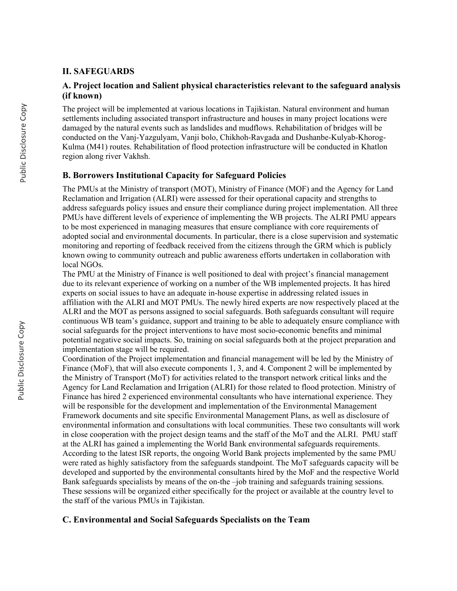#### **II. SAFEGUARDS**

## **A. Project location and Salient physical characteristics relevant to the safeguard analysis (if known)**

The project will be implemented at various locations in Tajikistan. Natural environment and human settlements including associated transport infrastructure and houses in many project locations were damaged by the natural events such as landslides and mudflows. Rehabilitation of bridges will be conducted on the Vanj-Yazgulyam, Vanji bolo, Chikhoh-Ravgada and Dushanbe-Kulyab-Khorog-Kulma (M41) routes. Rehabilitation of flood protection infrastructure will be conducted in Khatlon region along river Vakhsh.

#### **B. Borrowers Institutional Capacity for Safeguard Policies**

The PMUs at the Ministry of transport (MOT), Ministry of Finance (MOF) and the Agency for Land Reclamation and Irrigation (ALRI) were assessed for their operational capacity and strengths to address safeguards policy issues and ensure their compliance during project implementation. All three PMUs have different levels of experience of implementing the WB projects. The ALRI PMU appears to be most experienced in managing measures that ensure compliance with core requirements of adopted social and environmental documents. In particular, there is a close supervision and systematic monitoring and reporting of feedback received from the citizens through the GRM which is publicly known owing to community outreach and public awareness efforts undertaken in collaboration with local NGOs.

The PMU at the Ministry of Finance is well positioned to deal with project's financial management due to its relevant experience of working on a number of the WB implemented projects. It has hired experts on social issues to have an adequate in-house expertise in addressing related issues in affiliation with the ALRI and MOT PMUs. The newly hired experts are now respectively placed at the ALRI and the MOT as persons assigned to social safeguards. Both safeguards consultant will require continuous WB team's guidance, support and training to be able to adequately ensure compliance with social safeguards for the project interventions to have most socio-economic benefits and minimal potential negative social impacts. So, training on social safeguards both at the project preparation and implementation stage will be required.

Coordination of the Project implementation and financial management will be led by the Ministry of Finance (MoF), that will also execute components 1, 3, and 4. Component 2 will be implemented by the Ministry of Transport (MoT) for activities related to the transport network critical links and the Agency for Land Reclamation and Irrigation (ALRI) for those related to flood protection. Ministry of Finance has hired 2 experienced environmental consultants who have international experience. They will be responsible for the development and implementation of the Environmental Management Framework documents and site specific Environmental Management Plans, as well as disclosure of environmental information and consultations with local communities. These two consultants will work in close cooperation with the project design teams and the staff of the MoT and the ALRI. PMU staff at the ALRI has gained a implementing the World Bank environmental safeguards requirements. According to the latest ISR reports, the ongoing World Bank projects implemented by the same PMU were rated as highly satisfactory from the safeguards standpoint. The MoT safeguards capacity will be developed and supported by the environmental consultants hired by the MoF and the respective World Bank safeguards specialists by means of the on-the –job training and safeguards training sessions. These sessions will be organized either specifically for the project or available at the country level to the staff of the various PMUs in Tajikistan.

#### **C. Environmental and Social Safeguards Specialists on the Team**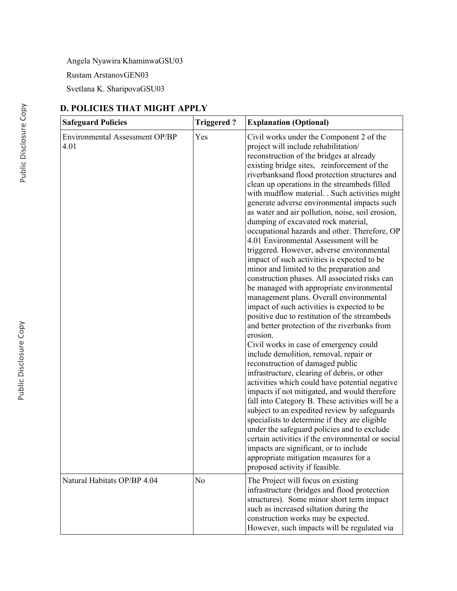Angela Nyawira KhaminwaGSU03

Rustam ArstanovGEN03

Svetlana K. SharipovaGSU03

# **D. POLICIES THAT MIGHT APPLY**

| <b>Safeguard Policies</b>              | <b>Triggered?</b> | <b>Explanation (Optional)</b>                                                                                                                                                                                                                                                                                                                                                                                                                                                                                                                                                                                                                                                                                                                                                                                                                                                                                                                                                                                                                                                                                                                                                                                                                                                                                                                                                                                                                                                                                                                                                                                                                                            |
|----------------------------------------|-------------------|--------------------------------------------------------------------------------------------------------------------------------------------------------------------------------------------------------------------------------------------------------------------------------------------------------------------------------------------------------------------------------------------------------------------------------------------------------------------------------------------------------------------------------------------------------------------------------------------------------------------------------------------------------------------------------------------------------------------------------------------------------------------------------------------------------------------------------------------------------------------------------------------------------------------------------------------------------------------------------------------------------------------------------------------------------------------------------------------------------------------------------------------------------------------------------------------------------------------------------------------------------------------------------------------------------------------------------------------------------------------------------------------------------------------------------------------------------------------------------------------------------------------------------------------------------------------------------------------------------------------------------------------------------------------------|
| Environmental Assessment OP/BP<br>4.01 | Yes               | Civil works under the Component 2 of the<br>project will include rehabilitation/<br>reconstruction of the bridges at already<br>existing bridge sites, reinforcement of the<br>riverbanksand flood protection structures and<br>clean up operations in the streambeds filled<br>with mudflow material. . Such activities might<br>generate adverse environmental impacts such<br>as water and air pollution, noise, soil erosion,<br>dumping of excavated rock material,<br>occupational hazards and other. Therefore, OP<br>4.01 Environmental Assessment will be<br>triggered. However, adverse environmental<br>impact of such activities is expected to be<br>minor and limited to the preparation and<br>construction phases. All associated risks can<br>be managed with appropriate environmental<br>management plans. Overall environmental<br>impact of such activities is expected to be<br>positive due to restitution of the streambeds<br>and better protection of the riverbanks from<br>erosion.<br>Civil works in case of emergency could<br>include demolition, removal, repair or<br>reconstruction of damaged public<br>infrastructure, clearing of debris, or other<br>activities which could have potential negative<br>impacts if not mitigated, and would therefore<br>fall into Category B. These activities will be a<br>subject to an expedited review by safeguards<br>specialists to determine if they are eligible<br>under the safeguard policies and to exclude<br>certain activities if the environmental or social<br>impacts are significant, or to include<br>appropriate mitigation measures for a<br>proposed activity if feasible. |
| Natural Habitats OP/BP 4.04            | N <sub>o</sub>    | The Project will focus on existing<br>infrastructure (bridges and flood protection<br>structures). Some minor short term impact<br>such as increased siltation during the<br>construction works may be expected.<br>However, such impacts will be regulated via                                                                                                                                                                                                                                                                                                                                                                                                                                                                                                                                                                                                                                                                                                                                                                                                                                                                                                                                                                                                                                                                                                                                                                                                                                                                                                                                                                                                          |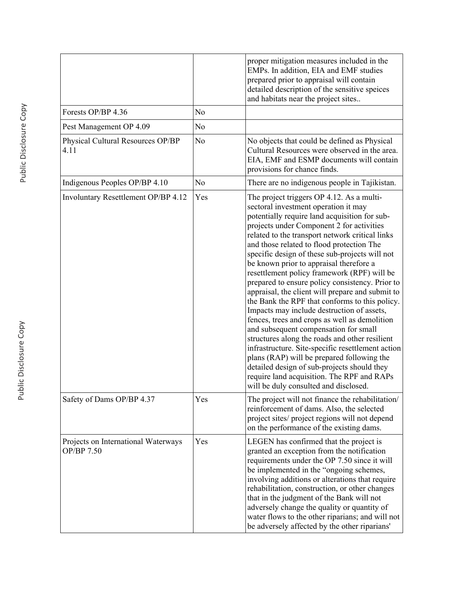|                                                   |                | proper mitigation measures included in the<br>EMPs. In addition, EIA and EMF studies<br>prepared prior to appraisal will contain<br>detailed description of the sensitive speices<br>and habitats near the project sites                                                                                                                                                                                                                                                                                                                                                                                                                                                                                                                                                                                                                                                                                                                                                                                                |
|---------------------------------------------------|----------------|-------------------------------------------------------------------------------------------------------------------------------------------------------------------------------------------------------------------------------------------------------------------------------------------------------------------------------------------------------------------------------------------------------------------------------------------------------------------------------------------------------------------------------------------------------------------------------------------------------------------------------------------------------------------------------------------------------------------------------------------------------------------------------------------------------------------------------------------------------------------------------------------------------------------------------------------------------------------------------------------------------------------------|
| Forests OP/BP 4.36                                | N <sub>0</sub> |                                                                                                                                                                                                                                                                                                                                                                                                                                                                                                                                                                                                                                                                                                                                                                                                                                                                                                                                                                                                                         |
| Pest Management OP 4.09                           | N <sub>0</sub> |                                                                                                                                                                                                                                                                                                                                                                                                                                                                                                                                                                                                                                                                                                                                                                                                                                                                                                                                                                                                                         |
| Physical Cultural Resources OP/BP<br>4.11         | N <sub>o</sub> | No objects that could be defined as Physical<br>Cultural Resources were observed in the area.<br>EIA, EMF and ESMP documents will contain<br>provisions for chance finds.                                                                                                                                                                                                                                                                                                                                                                                                                                                                                                                                                                                                                                                                                                                                                                                                                                               |
| Indigenous Peoples OP/BP 4.10                     | N <sub>0</sub> | There are no indigenous people in Tajikistan.                                                                                                                                                                                                                                                                                                                                                                                                                                                                                                                                                                                                                                                                                                                                                                                                                                                                                                                                                                           |
| Involuntary Resettlement OP/BP 4.12               | Yes            | The project triggers OP 4.12. As a multi-<br>sectoral investment operation it may<br>potentially require land acquisition for sub-<br>projects under Component 2 for activities<br>related to the transport network critical links<br>and those related to flood protection The<br>specific design of these sub-projects will not<br>be known prior to appraisal therefore a<br>resettlement policy framework (RPF) will be<br>prepared to ensure policy consistency. Prior to<br>appraisal, the client will prepare and submit to<br>the Bank the RPF that conforms to this policy.<br>Impacts may include destruction of assets,<br>fences, trees and crops as well as demolition<br>and subsequent compensation for small<br>structures along the roads and other resilient<br>infrastructure. Site-specific resettlement action<br>plans (RAP) will be prepared following the<br>detailed design of sub-projects should they<br>require land acquisition. The RPF and RAPs<br>will be duly consulted and disclosed. |
| Safety of Dams OP/BP 4.37                         | Yes            | The project will not finance the rehabilitation/<br>reinforcement of dams. Also, the selected<br>project sites/ project regions will not depend<br>on the performance of the existing dams.                                                                                                                                                                                                                                                                                                                                                                                                                                                                                                                                                                                                                                                                                                                                                                                                                             |
| Projects on International Waterways<br>OP/BP 7.50 | Yes            | LEGEN has confirmed that the project is<br>granted an exception from the notification<br>requirements under the OP 7.50 since it will<br>be implemented in the "ongoing schemes,<br>involving additions or alterations that require<br>rehabilitation, construction, or other changes<br>that in the judgment of the Bank will not<br>adversely change the quality or quantity of<br>water flows to the other riparians; and will not<br>be adversely affected by the other riparians'                                                                                                                                                                                                                                                                                                                                                                                                                                                                                                                                  |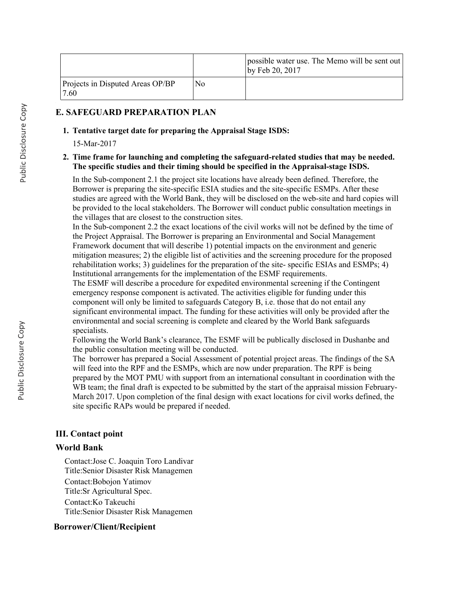|                                           |                | possible water use. The Memo will be sent out<br>by Feb 20, 2017 |
|-------------------------------------------|----------------|------------------------------------------------------------------|
| Projects in Disputed Areas OP/BP<br>17.60 | N <sub>0</sub> |                                                                  |

## **E. SAFEGUARD PREPARATION PLAN**

#### **1. Tentative target date for preparing the Appraisal Stage ISDS:**

15-Mar-2017

#### **Time frame for launching and completing the safeguard-related studies that may be needed. 2. The specific studies and their timing should be specified in the Appraisal-stage ISDS.**

In the Sub-component 2.1 the project site locations have already been defined. Therefore, the Borrower is preparing the site-specific ESIA studies and the site-specific ESMPs. After these studies are agreed with the World Bank, they will be disclosed on the web-site and hard copies will be provided to the local stakeholders. The Borrower will conduct public consultation meetings in the villages that are closest to the construction sites.

In the Sub-component 2.2 the exact locations of the civil works will not be defined by the time of the Project Appraisal. The Borrower is preparing an Environmental and Social Management Framework document that will describe 1) potential impacts on the environment and generic mitigation measures; 2) the eligible list of activities and the screening procedure for the proposed rehabilitation works; 3) guidelines for the preparation of the site- specific ESIAs and ESMPs; 4) Institutional arrangements for the implementation of the ESMF requirements.

The ESMF will describe a procedure for expedited environmental screening if the Contingent emergency response component is activated. The activities eligible for funding under this component will only be limited to safeguards Category B, i.e. those that do not entail any significant environmental impact. The funding for these activities will only be provided after the environmental and social screening is complete and cleared by the World Bank safeguards specialists.

Following the World Bank's clearance, The ESMF will be publically disclosed in Dushanbe and the public consultation meeting will be conducted.

The borrower has prepared a Social Assessment of potential project areas. The findings of the SA will feed into the RPF and the ESMPs, which are now under preparation. The RPF is being prepared by the MOT PMU with support from an international consultant in coordination with the WB team; the final draft is expected to be submitted by the start of the appraisal mission February-March 2017. Upon completion of the final design with exact locations for civil works defined, the site specific RAPs would be prepared if needed.

## **III. Contact point**

## **World Bank**

Contact:Jose C. Joaquin Toro Landivar Title:Senior Disaster Risk Managemen Contact:Bobojon Yatimov Title:Sr Agricultural Spec. Contact:Ko Takeuchi Title:Senior Disaster Risk Managemen

## **Borrower/Client/Recipient**